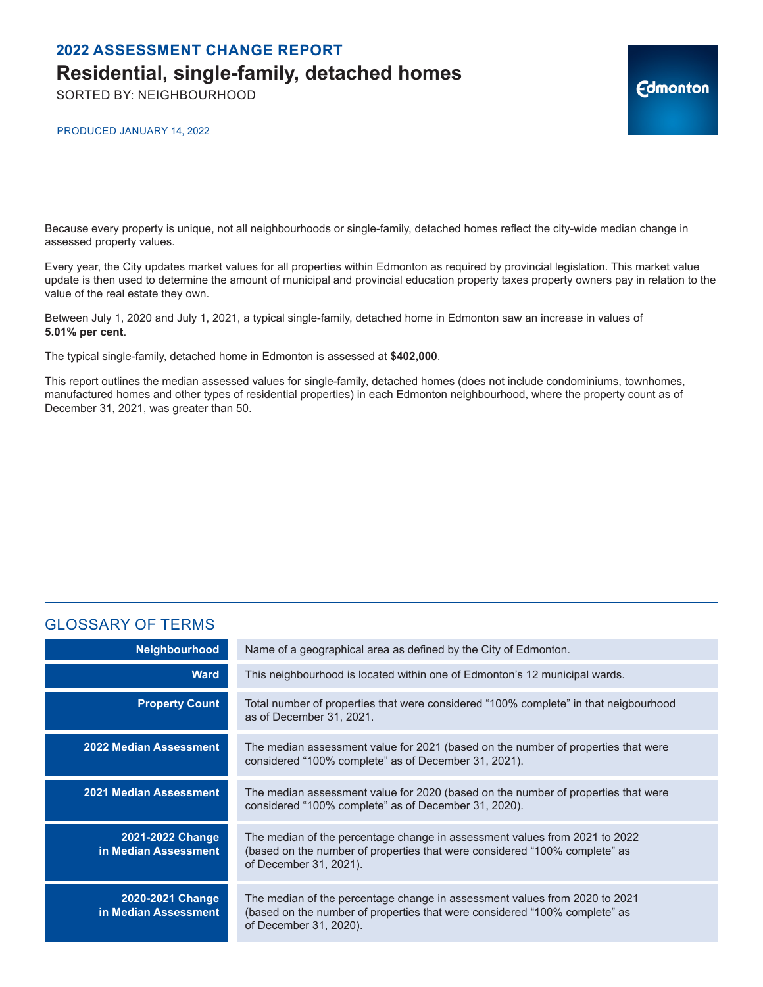SORTED BY: NEIGHBOURHOOD

PRODUCED JANUARY 14, 2022

Because every property is unique, not all neighbourhoods or single-family, detached homes reflect the city-wide median change in assessed property values.

Every year, the City updates market values for all properties within Edmonton as required by provincial legislation. This market value update is then used to determine the amount of municipal and provincial education property taxes property owners pay in relation to the value of the real estate they own.

**Edmonton** 

Between July 1, 2020 and July 1, 2021, a typical single-family, detached home in Edmonton saw an increase in values of **5.01% per cent**.

The typical single-family, detached home in Edmonton is assessed at **\$402,000**.

This report outlines the median assessed values for single-family, detached homes (does not include condominiums, townhomes, manufactured homes and other types of residential properties) in each Edmonton neighbourhood, where the property count as of December 31, 2021, was greater than 50.

### GLOSSARY OF TERMS

| <b>Neighbourhood</b>                     | Name of a geographical area as defined by the City of Edmonton.                                                                                                                    |
|------------------------------------------|------------------------------------------------------------------------------------------------------------------------------------------------------------------------------------|
| <b>Ward</b>                              | This neighbourhood is located within one of Edmonton's 12 municipal wards.                                                                                                         |
| <b>Property Count</b>                    | Total number of properties that were considered "100% complete" in that neigbourhood<br>as of December 31, 2021.                                                                   |
| <b>2022 Median Assessment</b>            | The median assessment value for 2021 (based on the number of properties that were<br>considered "100% complete" as of December 31, 2021).                                          |
| <b>2021 Median Assessment</b>            | The median assessment value for 2020 (based on the number of properties that were<br>considered "100% complete" as of December 31, 2020).                                          |
| 2021-2022 Change<br>in Median Assessment | The median of the percentage change in assessment values from 2021 to 2022<br>(based on the number of properties that were considered "100% complete" as<br>of December 31, 2021). |
| 2020-2021 Change<br>in Median Assessment | The median of the percentage change in assessment values from 2020 to 2021<br>(based on the number of properties that were considered "100% complete" as<br>of December 31, 2020). |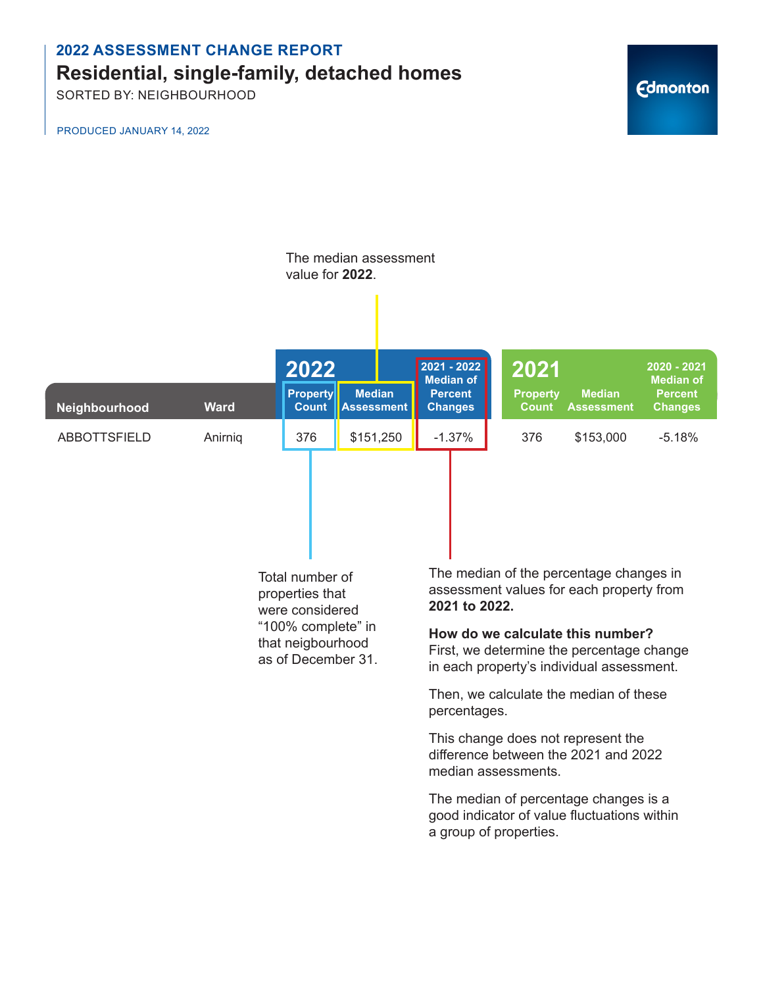SORTED BY: NEIGHBOURHOOD

PRODUCED JANUARY 14, 2022

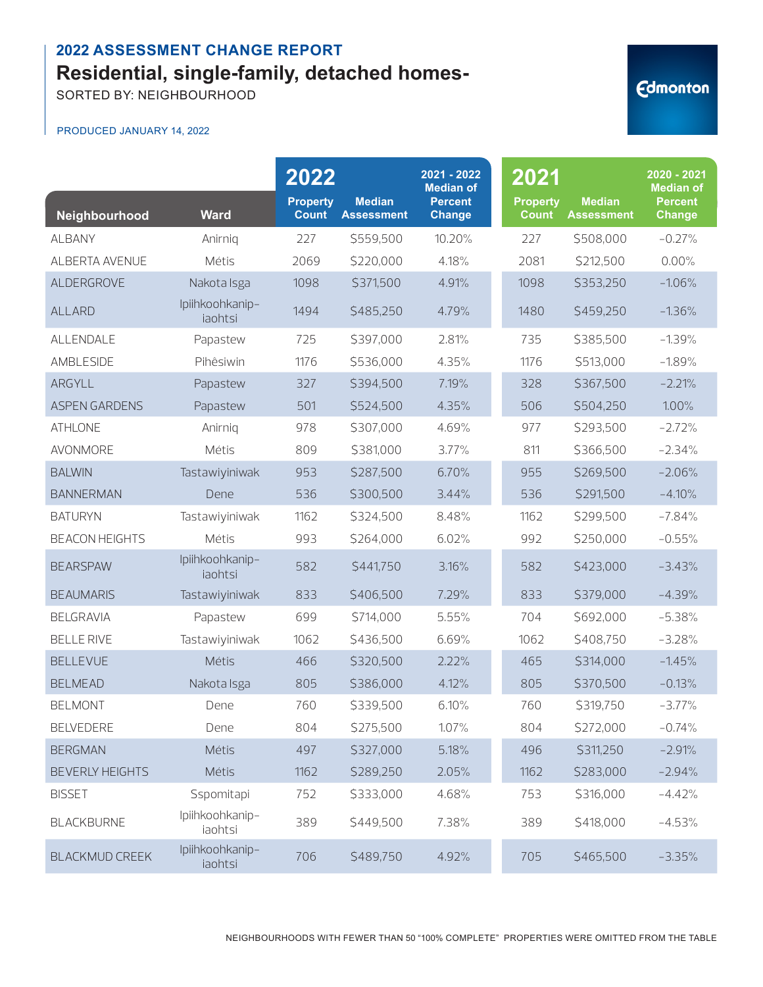SORTED BY: NEIGHBOURHOOD

| Neighbourhood          | <b>Ward</b>                | 2022<br><b>Property</b><br><b>Count</b> | <b>Median</b><br><b>Assessment</b> | 2021 - 2022<br><b>Median of</b><br><b>Percent</b><br><b>Change</b> | 2021<br><b>Property</b><br><b>Count</b> | <b>Median</b><br><b>Assessment</b> | 2020 - 2021<br><b>Median of</b><br><b>Percent</b><br><b>Change</b> |
|------------------------|----------------------------|-----------------------------------------|------------------------------------|--------------------------------------------------------------------|-----------------------------------------|------------------------------------|--------------------------------------------------------------------|
| <b>ALBANY</b>          | Anirnig                    | 227                                     | \$559,500                          | 10.20%                                                             | 227                                     | \$508,000                          | $-0.27%$                                                           |
| ALBERTA AVENUE         | Métis                      | 2069                                    | \$220,000                          | 4.18%                                                              | 2081                                    | \$212,500                          | 0.00%                                                              |
| ALDERGROVE             | Nakota Isga                | 1098                                    | \$371,500                          | 4.91%                                                              | 1098                                    | \$353,250                          | $-1.06%$                                                           |
| <b>ALLARD</b>          | Ipiihkoohkanip-<br>iaohtsi | 1494                                    | \$485,250                          | 4.79%                                                              | 1480                                    | \$459,250                          | $-1.36%$                                                           |
| ALLENDALE              | Papastew                   | 725                                     | \$397,000                          | 2.81%                                                              | 735                                     | \$385,500                          | $-1.39%$                                                           |
| AMBLESIDE              | Pihêsiwin                  | 1176                                    | \$536,000                          | 4.35%                                                              | 1176                                    | \$513,000                          | $-1.89%$                                                           |
| ARGYLL                 | Papastew                   | 327                                     | \$394,500                          | 7.19%                                                              | 328                                     | \$367,500                          | $-2.21%$                                                           |
| <b>ASPEN GARDENS</b>   | Papastew                   | 501                                     | \$524,500                          | 4.35%                                                              | 506                                     | \$504,250                          | 1.00%                                                              |
| <b>ATHLONE</b>         | Anirnig                    | 978                                     | \$307,000                          | 4.69%                                                              | 977                                     | \$293,500                          | $-2.72%$                                                           |
| <b>AVONMORE</b>        | Métis                      | 809                                     | \$381,000                          | 3.77%                                                              | 811                                     | \$366,500                          | $-2.34%$                                                           |
| <b>BALWIN</b>          | Tastawiyiniwak             | 953                                     | \$287,500                          | 6.70%                                                              | 955                                     | \$269,500                          | $-2.06%$                                                           |
| <b>BANNERMAN</b>       | Dene                       | 536                                     | \$300,500                          | 3.44%                                                              | 536                                     | \$291,500                          | $-4.10%$                                                           |
| <b>BATURYN</b>         | Tastawiyiniwak             | 1162                                    | \$324,500                          | 8.48%                                                              | 1162                                    | \$299,500                          | $-7.84%$                                                           |
| <b>BEACON HEIGHTS</b>  | Métis                      | 993                                     | \$264,000                          | 6.02%                                                              | 992                                     | \$250,000                          | $-0.55%$                                                           |
| <b>BEARSPAW</b>        | Ipiihkoohkanip-<br>iaohtsi | 582                                     | \$441,750                          | 3.16%                                                              | 582                                     | \$423,000                          | $-3.43%$                                                           |
| <b>BEAUMARIS</b>       | Tastawiyiniwak             | 833                                     | \$406,500                          | 7.29%                                                              | 833                                     | \$379,000                          | $-4.39%$                                                           |
| <b>BELGRAVIA</b>       | Papastew                   | 699                                     | \$714,000                          | 5.55%                                                              | 704                                     | \$692,000                          | $-5.38%$                                                           |
| <b>BELLE RIVE</b>      | Tastawiyiniwak             | 1062                                    | \$436,500                          | 6.69%                                                              | 1062                                    | \$408,750                          | $-3.28%$                                                           |
| <b>BELLEVUE</b>        | Métis                      | 466                                     | \$320,500                          | 2.22%                                                              | 465                                     | \$314,000                          | $-1.45%$                                                           |
| <b>BELMEAD</b>         | Nakota Isga                | 805                                     | \$386,000                          | 4.12%                                                              | 805                                     | \$370,500                          | $-0.13%$                                                           |
| <b>BELMONT</b>         | Dene                       | 760                                     | \$339,500                          | 6.10%                                                              | 760                                     | \$319,750                          | $-3.77%$                                                           |
| <b>BELVEDERE</b>       | Dene                       | 804                                     | \$275,500                          | 1.07%                                                              | 804                                     | \$272,000                          | $-0.74%$                                                           |
| <b>BERGMAN</b>         | Métis                      | 497                                     | \$327,000                          | 5.18%                                                              | 496                                     | \$311,250                          | $-2.91%$                                                           |
| <b>BEVERLY HEIGHTS</b> | Métis                      | 1162                                    | \$289,250                          | 2.05%                                                              | 1162                                    | \$283,000                          | $-2.94%$                                                           |
| <b>BISSET</b>          | Sspomitapi                 | 752                                     | \$333,000                          | 4.68%                                                              | 753                                     | \$316,000                          | $-4.42%$                                                           |
| <b>BLACKBURNE</b>      | Ipiihkoohkanip-<br>iaohtsi | 389                                     | \$449,500                          | 7.38%                                                              | 389                                     | \$418,000                          | $-4.53%$                                                           |
| <b>BLACKMUD CREEK</b>  | Ipiihkoohkanip-<br>iaohtsi | 706                                     | \$489,750                          | 4.92%                                                              | 705                                     | \$465,500                          | $-3.35%$                                                           |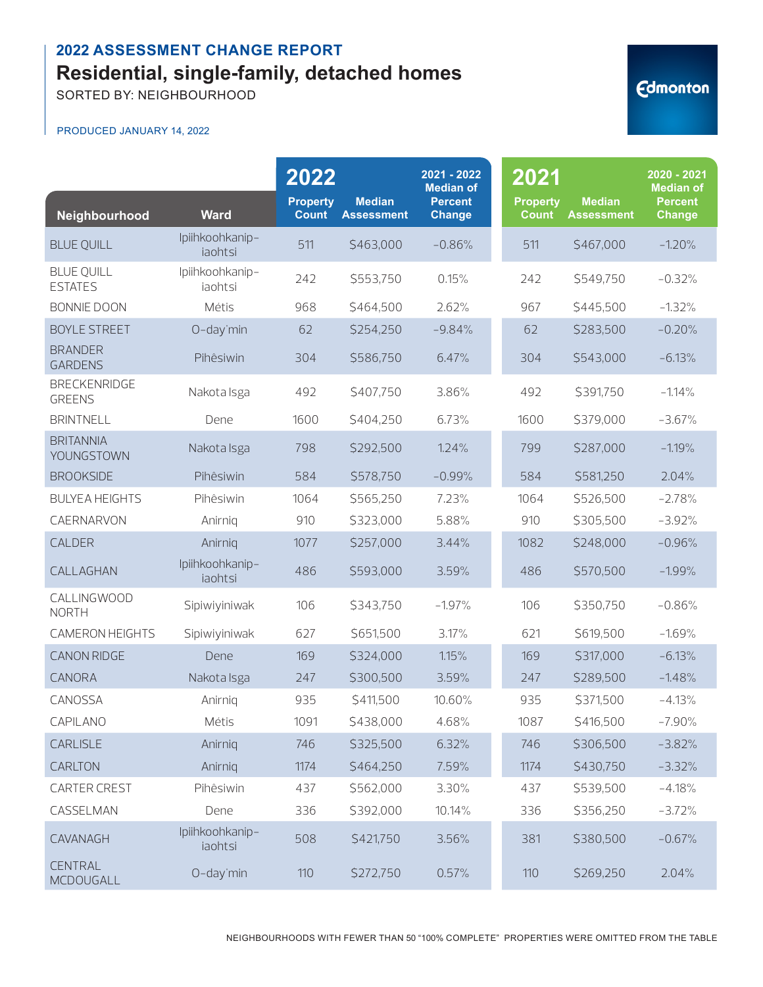SORTED BY: NEIGHBOURHOOD

#### PRODUCED JANUARY 14, 2022

| Neighbourhood                        | <b>Ward</b>                | 2022<br><b>Property</b><br><b>Count</b> | <b>Median</b><br><b>Assessment</b> | 2021 - 2022<br><b>Median of</b><br><b>Percent</b><br><b>Change</b> | 2021<br><b>Property</b><br><b>Count</b> | <b>Median</b><br><b>Assessment</b> | 2020 - 2021<br><b>Median of</b><br><b>Percent</b><br><b>Change</b> |
|--------------------------------------|----------------------------|-----------------------------------------|------------------------------------|--------------------------------------------------------------------|-----------------------------------------|------------------------------------|--------------------------------------------------------------------|
| <b>BLUE QUILL</b>                    | Ipiihkoohkanip-<br>iaohtsi | 511                                     | \$463,000                          | $-0.86%$                                                           | 511                                     | \$467,000                          | $-1.20%$                                                           |
| <b>BLUE QUILL</b><br><b>ESTATES</b>  | Ipiihkoohkanip-<br>iaohtsi | 242                                     | \$553,750                          | 0.15%                                                              | 242                                     | \$549,750                          | $-0.32%$                                                           |
| <b>BONNIE DOON</b>                   | Métis                      | 968                                     | \$464,500                          | 2.62%                                                              | 967                                     | \$445,500                          | $-1.32%$                                                           |
| <b>BOYLE STREET</b>                  | O-day'min                  | 62                                      | \$254,250                          | $-9.84%$                                                           | 62                                      | \$283,500                          | $-0.20%$                                                           |
| <b>BRANDER</b><br><b>GARDENS</b>     | Pihêsiwin                  | 304                                     | \$586,750                          | 6.47%                                                              | 304                                     | \$543,000                          | $-6.13%$                                                           |
| <b>BRECKENRIDGE</b><br><b>GREENS</b> | Nakota Isga                | 492                                     | \$407,750                          | 3.86%                                                              | 492                                     | \$391,750                          | $-1.14%$                                                           |
| <b>BRINTNELL</b>                     | Dene                       | 1600                                    | \$404,250                          | 6.73%                                                              | 1600                                    | \$379,000                          | $-3.67%$                                                           |
| <b>BRITANNIA</b><br>YOUNGSTOWN       | Nakota Isga                | 798                                     | \$292,500                          | 1.24%                                                              | 799                                     | \$287,000                          | $-1.19%$                                                           |
| <b>BROOKSIDE</b>                     | Pihêsiwin                  | 584                                     | \$578,750                          | $-0.99%$                                                           | 584                                     | \$581,250                          | 2.04%                                                              |
| <b>BULYEA HEIGHTS</b>                | Pihêsiwin                  | 1064                                    | \$565,250                          | 7.23%                                                              | 1064                                    | \$526,500                          | $-2.78%$                                                           |
| CAERNARVON                           | Anirnig                    | 910                                     | \$323,000                          | 5.88%                                                              | 910                                     | \$305,500                          | $-3.92%$                                                           |
| CALDER                               | Anirnig                    | 1077                                    | \$257,000                          | 3.44%                                                              | 1082                                    | \$248,000                          | $-0.96%$                                                           |
| CALLAGHAN                            | Ipiihkoohkanip-<br>iaohtsi | 486                                     | \$593,000                          | 3.59%                                                              | 486                                     | \$570,500                          | $-1.99%$                                                           |
| CALLINGWOOD<br><b>NORTH</b>          | Sipiwiyiniwak              | 106                                     | \$343,750                          | $-1.97%$                                                           | 106                                     | \$350,750                          | $-0.86%$                                                           |
| CAMERON HEIGHTS                      | Sipiwiyiniwak              | 627                                     | \$651,500                          | 3.17%                                                              | 621                                     | \$619,500                          | $-1.69%$                                                           |
| <b>CANON RIDGE</b>                   | Dene                       | 169                                     | \$324,000                          | 1.15%                                                              | 169                                     | \$317,000                          | $-6.13%$                                                           |
| CANORA                               | Nakota Isga                | 247                                     | \$300,500                          | 3.59%                                                              | 247                                     | \$289,500                          | $-1.48%$                                                           |
| CANOSSA                              | Anirnig                    | 935                                     | \$411,500                          | 10.60%                                                             | 935                                     | \$371,500                          | $-4.13%$                                                           |
| CAPILANO                             | Métis                      | 1091                                    | \$438,000                          | 4.68%                                                              | 1087                                    | \$416,500                          | $-7.90\%$                                                          |
| CARLISLE                             | Anirniq                    | 746                                     | \$325,500                          | 6.32%                                                              | 746                                     | \$306,500                          | $-3.82%$                                                           |
| CARLTON                              | Anirniq                    | 1174                                    | \$464,250                          | 7.59%                                                              | 1174                                    | \$430,750                          | $-3.32%$                                                           |
| CARTER CREST                         | Pihêsiwin                  | 437                                     | \$562,000                          | 3.30%                                                              | 437                                     | \$539,500                          | $-4.18%$                                                           |
| CASSELMAN                            | Dene                       | 336                                     | \$392,000                          | 10.14%                                                             | 336                                     | \$356,250                          | $-3.72%$                                                           |
| CAVANAGH                             | Ipiihkoohkanip-<br>iaohtsi | 508                                     | \$421,750                          | 3.56%                                                              | 381                                     | \$380,500                          | $-0.67%$                                                           |
| <b>CENTRAL</b><br>MCDOUGALL          | O-day'min                  | 110                                     | \$272,750                          | 0.57%                                                              | 110                                     | \$269,250                          | 2.04%                                                              |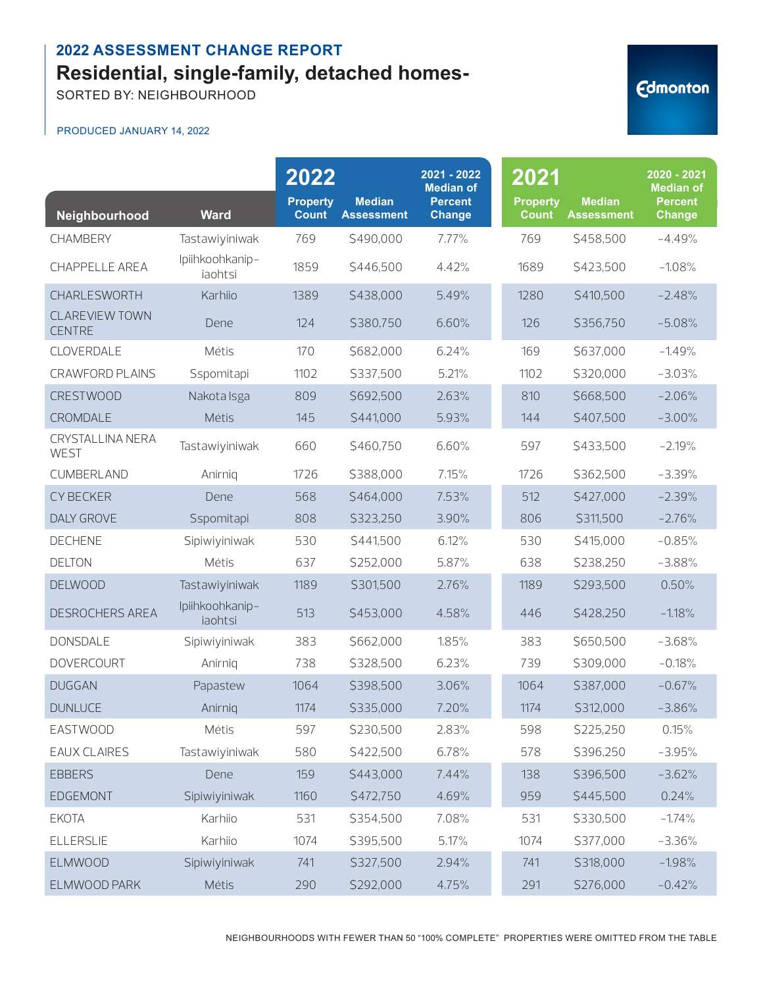SORTED BY: NEIGHBOURHOOD

| <b><i><u>Edmonton</u></i></b> |
|-------------------------------|
|                               |

|                                        |                            | 2022                            |                                    | 2021 - 2022<br><b>Median of</b> | 2021                            |                                    | 2020 - 2021<br><b>Median of</b> |
|----------------------------------------|----------------------------|---------------------------------|------------------------------------|---------------------------------|---------------------------------|------------------------------------|---------------------------------|
| Neighbourhood                          | <b>Ward</b>                | <b>Property</b><br><b>Count</b> | <b>Median</b><br><b>Assessment</b> | <b>Percent</b><br><b>Change</b> | <b>Property</b><br><b>Count</b> | <b>Median</b><br><b>Assessment</b> | <b>Percent</b><br><b>Change</b> |
| <b>CHAMBERY</b>                        | Tastawiyiniwak             | 769                             | \$490,000                          | 7.77%                           | 769                             | \$458,500                          | $-4.49%$                        |
| <b>CHAPPELLE AREA</b>                  | Ipiihkoohkanip-<br>iaohtsi | 1859                            | \$446,500                          | 4.42%                           | 1689                            | \$423,500                          | $-1.08%$                        |
| CHARLESWORTH                           | Karhiio                    | 1389                            | \$438,000                          | 5.49%                           | 1280                            | \$410,500                          | $-2.48%$                        |
| <b>CLAREVIEW TOWN</b><br><b>CENTRE</b> | Dene                       | 124                             | \$380,750                          | 6.60%                           | 126                             | \$356,750                          | $-5.08%$                        |
| CLOVERDALE                             | Métis                      | 170                             | \$682,000                          | 6.24%                           | 169                             | \$637,000                          | $-1.49%$                        |
| <b>CRAWFORD PLAINS</b>                 | Sspomitapi                 | 1102                            | \$337,500                          | 5.21%                           | 1102                            | \$320,000                          | $-3.03%$                        |
| <b>CRESTWOOD</b>                       | Nakota Isga                | 809                             | \$692,500                          | 2.63%                           | 810                             | \$668,500                          | $-2.06%$                        |
| CROMDALE                               | Métis                      | 145                             | \$441,000                          | 5.93%                           | 144                             | \$407,500                          | $-3.00%$                        |
| CRYSTALLINA NERA<br>WEST               | Tastawiyiniwak             | 660                             | \$460,750                          | 6.60%                           | 597                             | \$433,500                          | $-2.19%$                        |
| CUMBERLAND                             | Anirnig                    | 1726                            | \$388,000                          | 7.15%                           | 1726                            | \$362,500                          | $-3.39%$                        |
| <b>CY BECKER</b>                       | Dene                       | 568                             | \$464,000                          | 7.53%                           | 512                             | \$427,000                          | $-2.39%$                        |
| <b>DALY GROVE</b>                      | Sspomitapi                 | 808                             | \$323,250                          | 3.90%                           | 806                             | \$311,500                          | $-2.76%$                        |
| <b>DECHENE</b>                         | Sipiwiyiniwak              | 530                             | \$441,500                          | 6.12%                           | 530                             | \$415,000                          | $-0.85%$                        |
| <b>DELTON</b>                          | Métis                      | 637                             | \$252,000                          | 5.87%                           | 638                             | \$238,250                          | $-3.88%$                        |
| <b>DELWOOD</b>                         | Tastawiyiniwak             | 1189                            | \$301,500                          | 2.76%                           | 1189                            | \$293,500                          | 0.50%                           |
| DESROCHERS AREA                        | Ipiihkoohkanip-<br>iaohtsi | 513                             | \$453,000                          | 4.58%                           | 446                             | \$428,250                          | $-1.18%$                        |
| <b>DONSDALE</b>                        | Sipiwiyiniwak              | 383                             | \$662,000                          | 1.85%                           | 383                             | \$650,500                          | $-3.68%$                        |
| <b>DOVERCOURT</b>                      | Anirnig                    | 738                             | \$328,500                          | 6.23%                           | 739                             | \$309,000                          | $-0.18%$                        |
| <b>DUGGAN</b>                          | Papastew                   | 1064                            | \$398,500                          | 3.06%                           | 1064                            | \$387,000                          | $-0.67%$                        |
| <b>DUNLUCE</b>                         | Anirnig                    | 1174                            | \$335,000                          | 7.20%                           | 1174                            | \$312,000                          | $-3.86%$                        |
| EASTWOOD                               | Métis                      | 597                             | \$230,500                          | 2.83%                           | 598                             | \$225,250                          | 0.15%                           |
| <b>EAUX CLAIRES</b>                    | Tastawiyiniwak             | 580                             | \$422,500                          | 6.78%                           | 578                             | \$396,250                          | $-3.95%$                        |
| <b>EBBERS</b>                          | Dene                       | 159                             | \$443,000                          | 7.44%                           | 138                             | \$396,500                          | $-3.62%$                        |
| EDGEMONT                               | Sipiwiyiniwak              | 1160                            | \$472,750                          | 4.69%                           | 959                             | \$445,500                          | 0.24%                           |
| <b>EKOTA</b>                           | Karhiio                    | 531                             | \$354,500                          | 7.08%                           | 531                             | \$330,500                          | $-1.74%$                        |
| <b>ELLERSLIE</b>                       | Karhiio                    | 1074                            | \$395,500                          | 5.17%                           | 1074                            | \$377,000                          | $-3.36%$                        |
| <b>ELMWOOD</b>                         | Sipiwiyiniwak              | 741                             | \$327,500                          | 2.94%                           | 741                             | \$318,000                          | $-1.98%$                        |
| ELMWOOD PARK                           | Métis                      | 290                             | \$292,000                          | 4.75%                           | 291                             | \$276,000                          | $-0.42%$                        |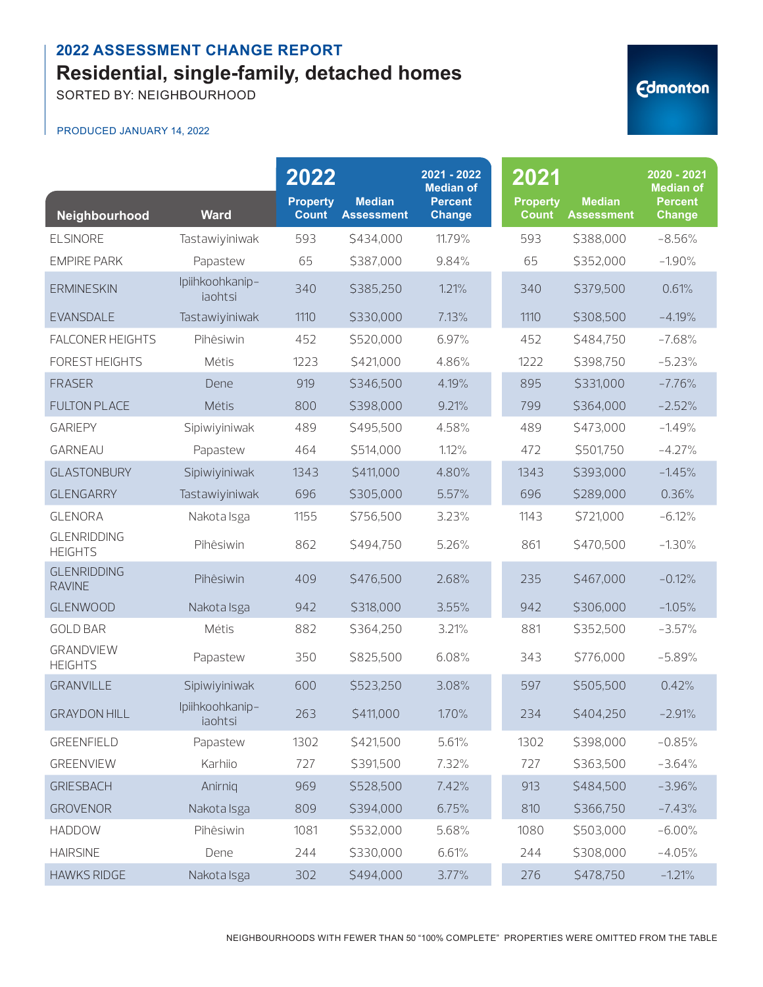SORTED BY: NEIGHBOURHOOD

| Neighbourhood                        | <b>Ward</b>                | 2022<br><b>Property</b><br><b>Count</b> | <b>Median</b><br><b>Assessment</b> | 2021 - 2022<br><b>Median of</b><br><b>Percent</b><br><b>Change</b> | 2021<br><b>Property</b><br><b>Count</b> | <b>Median</b><br><b>Assessment</b> | 2020 - 2021<br><b>Median of</b><br><b>Percent</b><br><b>Change</b> |
|--------------------------------------|----------------------------|-----------------------------------------|------------------------------------|--------------------------------------------------------------------|-----------------------------------------|------------------------------------|--------------------------------------------------------------------|
| <b>ELSINORE</b>                      | Tastawiyiniwak             | 593                                     | \$434,000                          | 11.79%                                                             | 593                                     | \$388,000                          | $-8.56%$                                                           |
| <b>EMPIRE PARK</b>                   | Papastew                   | 65                                      | \$387,000                          | 9.84%                                                              | 65                                      | \$352,000                          | $-1.90%$                                                           |
| <b>ERMINESKIN</b>                    | Ipiihkoohkanip-<br>iaohtsi | 340                                     | \$385,250                          | 1.21%                                                              | 340                                     | \$379,500                          | 0.61%                                                              |
| <b>EVANSDALE</b>                     | Tastawiyiniwak             | 1110                                    | \$330,000                          | 7.13%                                                              | 1110                                    | \$308,500                          | $-4.19%$                                                           |
| <b>FALCONER HEIGHTS</b>              | Pihêsiwin                  | 452                                     | \$520,000                          | 6.97%                                                              | 452                                     | \$484,750                          | $-7.68%$                                                           |
| <b>FOREST HEIGHTS</b>                | Métis                      | 1223                                    | \$421,000                          | 4.86%                                                              | 1222                                    | \$398,750                          | $-5.23%$                                                           |
| <b>FRASER</b>                        | Dene                       | 919                                     | \$346,500                          | 4.19%                                                              | 895                                     | \$331,000                          | $-7.76%$                                                           |
| <b>FULTON PLACE</b>                  | Métis                      | 800                                     | \$398,000                          | 9.21%                                                              | 799                                     | \$364,000                          | $-2.52%$                                                           |
| <b>GARIEPY</b>                       | Sipiwiyiniwak              | 489                                     | \$495,500                          | 4.58%                                                              | 489                                     | \$473,000                          | $-1.49%$                                                           |
| GARNEAU                              | Papastew                   | 464                                     | \$514,000                          | 1.12%                                                              | 472                                     | \$501,750                          | $-4.27%$                                                           |
| <b>GLASTONBURY</b>                   | Sipiwiyiniwak              | 1343                                    | \$411,000                          | 4.80%                                                              | 1343                                    | \$393,000                          | $-1.45%$                                                           |
| <b>GLENGARRY</b>                     | Tastawiyiniwak             | 696                                     | \$305,000                          | 5.57%                                                              | 696                                     | \$289,000                          | 0.36%                                                              |
| <b>GLENORA</b>                       | Nakota Isga                | 1155                                    | \$756,500                          | 3.23%                                                              | 1143                                    | \$721,000                          | $-6.12%$                                                           |
| <b>GLENRIDDING</b><br><b>HEIGHTS</b> | Pihêsiwin                  | 862                                     | \$494,750                          | 5.26%                                                              | 861                                     | \$470,500                          | $-1.30%$                                                           |
| <b>GLENRIDDING</b><br><b>RAVINE</b>  | Pihêsiwin                  | 409                                     | \$476,500                          | 2.68%                                                              | 235                                     | \$467,000                          | $-0.12%$                                                           |
| <b>GLENWOOD</b>                      | Nakota Isga                | 942                                     | \$318,000                          | 3.55%                                                              | 942                                     | \$306,000                          | $-1.05%$                                                           |
| <b>GOLD BAR</b>                      | Métis                      | 882                                     | \$364,250                          | 3.21%                                                              | 881                                     | \$352,500                          | $-3.57%$                                                           |
| <b>GRANDVIEW</b><br><b>HEIGHTS</b>   | Papastew                   | 350                                     | \$825,500                          | 6.08%                                                              | 343                                     | \$776,000                          | $-5.89%$                                                           |
| <b>GRANVILLE</b>                     | Sipiwiyiniwak              | 600                                     | \$523,250                          | 3.08%                                                              | 597                                     | \$505,500                          | 0.42%                                                              |
| <b>GRAYDON HILL</b>                  | Ipiihkoohkanip-<br>iaohtsi | 263                                     | \$411,000                          | 1.70%                                                              | 234                                     | \$404,250                          | $-2.91%$                                                           |
| GREENFIELD                           | Papastew                   | 1302                                    | \$421,500                          | 5.61%                                                              | 1302                                    | \$398,000                          | $-0.85%$                                                           |
| <b>GREENVIEW</b>                     | Karhiio                    | 727                                     | \$391,500                          | 7.32%                                                              | 727                                     | \$363,500                          | $-3.64%$                                                           |
| <b>GRIESBACH</b>                     | Anirnig                    | 969                                     | \$528,500                          | 7.42%                                                              | 913                                     | \$484,500                          | $-3.96%$                                                           |
| <b>GROVENOR</b>                      | Nakota Isga                | 809                                     | \$394,000                          | 6.75%                                                              | 810                                     | \$366,750                          | $-7.43%$                                                           |
| <b>HADDOW</b>                        | Pihêsiwin                  | 1081                                    | \$532,000                          | 5.68%                                                              | 1080                                    | \$503,000                          | $-6.00%$                                                           |
| <b>HAIRSINE</b>                      | Dene                       | 244                                     | \$330,000                          | 6.61%                                                              | 244                                     | \$308,000                          | $-4.05%$                                                           |
| <b>HAWKS RIDGE</b>                   | Nakota Isga                | 302                                     | \$494,000                          | 3.77%                                                              | 276                                     | \$478,750                          | $-1.21%$                                                           |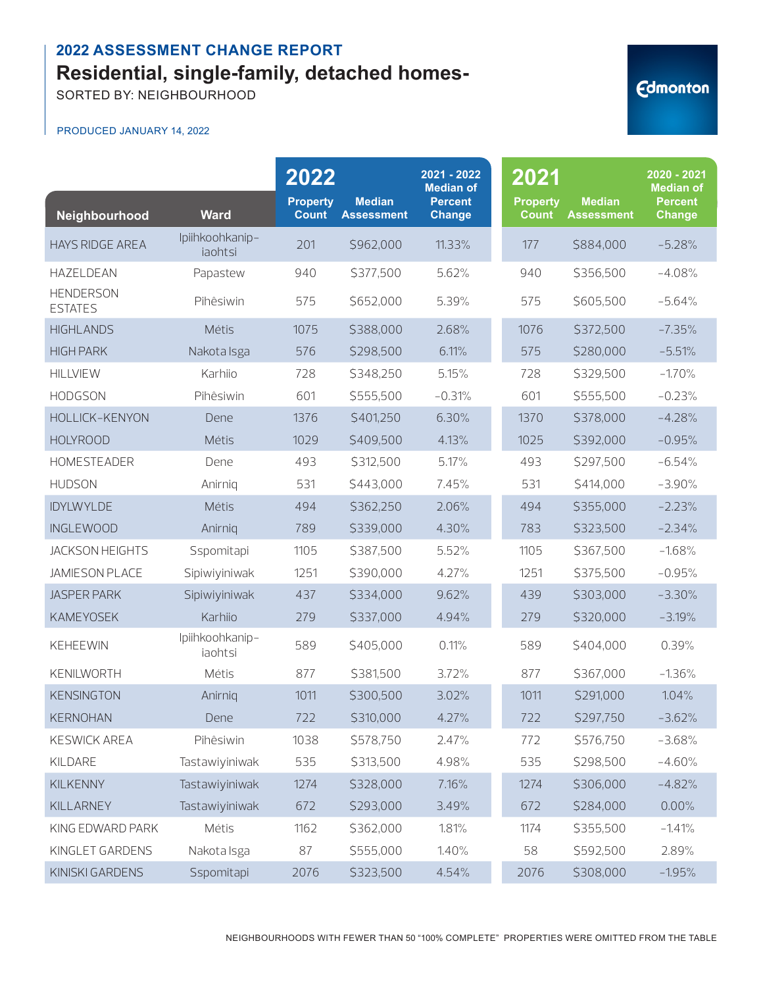SORTED BY: NEIGHBOURHOOD

| Neighbourhood                      | <b>Ward</b>                | 2022<br><b>Property</b><br><b>Count</b> | <b>Median</b><br><b>Assessment</b> | 2021 - 2022<br><b>Median of</b><br><b>Percent</b><br><b>Change</b> | 2021<br><b>Property</b><br><b>Count</b> | <b>Median</b><br><b>Assessment</b> | 2020 - 2021<br><b>Median of</b><br><b>Percent</b><br>Change |
|------------------------------------|----------------------------|-----------------------------------------|------------------------------------|--------------------------------------------------------------------|-----------------------------------------|------------------------------------|-------------------------------------------------------------|
| <b>HAYS RIDGE AREA</b>             | Ipiihkoohkanip-<br>iaohtsi | 201                                     | \$962,000                          | 11.33%                                                             | 177                                     | \$884,000                          | $-5.28%$                                                    |
| HAZELDEAN                          | Papastew                   | 940                                     | \$377,500                          | 5.62%                                                              | 940                                     | \$356,500                          | $-4.08%$                                                    |
| <b>HENDERSON</b><br><b>ESTATES</b> | Pihêsiwin                  | 575                                     | \$652,000                          | 5.39%                                                              | 575                                     | \$605,500                          | $-5.64%$                                                    |
| <b>HIGHLANDS</b>                   | Métis                      | 1075                                    | \$388,000                          | 2.68%                                                              | 1076                                    | \$372,500                          | $-7.35%$                                                    |
| <b>HIGH PARK</b>                   | Nakota Isga                | 576                                     | \$298,500                          | 6.11%                                                              | 575                                     | \$280,000                          | $-5.51%$                                                    |
| <b>HILLVIEW</b>                    | Karhiio                    | 728                                     | \$348,250                          | 5.15%                                                              | 728                                     | \$329,500                          | $-1.70%$                                                    |
| <b>HODGSON</b>                     | Pihêsiwin                  | 601                                     | \$555,500                          | $-0.31%$                                                           | 601                                     | \$555,500                          | $-0.23%$                                                    |
| HOLLICK-KENYON                     | Dene                       | 1376                                    | \$401,250                          | 6.30%                                                              | 1370                                    | \$378,000                          | $-4.28%$                                                    |
| <b>HOLYROOD</b>                    | Métis                      | 1029                                    | \$409,500                          | 4.13%                                                              | 1025                                    | \$392,000                          | $-0.95%$                                                    |
| HOMESTEADER                        | Dene                       | 493                                     | \$312,500                          | 5.17%                                                              | 493                                     | \$297,500                          | $-6.54%$                                                    |
| <b>HUDSON</b>                      | Anirnig                    | 531                                     | \$443,000                          | 7.45%                                                              | 531                                     | \$414,000                          | $-3.90%$                                                    |
| <b>IDYLWYLDE</b>                   | Métis                      | 494                                     | \$362,250                          | 2.06%                                                              | 494                                     | \$355,000                          | $-2.23%$                                                    |
| <b>INGLEWOOD</b>                   | Anirnig                    | 789                                     | \$339,000                          | 4.30%                                                              | 783                                     | \$323,500                          | $-2.34%$                                                    |
| <b>JACKSON HEIGHTS</b>             | Sspomitapi                 | 1105                                    | \$387,500                          | 5.52%                                                              | 1105                                    | \$367,500                          | $-1.68%$                                                    |
| <b>JAMIESON PLACE</b>              | Sipiwiyiniwak              | 1251                                    | \$390,000                          | 4.27%                                                              | 1251                                    | \$375,500                          | $-0.95%$                                                    |
| <b>JASPER PARK</b>                 | Sipiwiyiniwak              | 437                                     | \$334,000                          | 9.62%                                                              | 439                                     | \$303,000                          | $-3.30%$                                                    |
| <b>KAMEYOSEK</b>                   | Karhiio                    | 279                                     | \$337,000                          | 4.94%                                                              | 279                                     | \$320,000                          | $-3.19%$                                                    |
| <b>KEHEEWIN</b>                    | Ipiihkoohkanip-<br>iaohtsi | 589                                     | \$405,000                          | 0.11%                                                              | 589                                     | \$404,000                          | 0.39%                                                       |
| KENILWORTH                         | Métis                      | 877                                     | \$381,500                          | 3.72%                                                              | 877                                     | \$367,000                          | $-1.36%$                                                    |
| <b>KENSINGTON</b>                  | Anirniq                    | 1011                                    | \$300,500                          | 3.02%                                                              | 1011                                    | \$291,000                          | 1.04%                                                       |
| KERNOHAN                           | Dene                       | 722                                     | \$310,000                          | 4.27%                                                              | 722                                     | \$297,750                          | $-3.62%$                                                    |
| <b>KESWICK AREA</b>                | Pihêsiwin                  | 1038                                    | \$578,750                          | 2.47%                                                              | 772                                     | \$576,750                          | $-3.68%$                                                    |
| KILDARE                            | Tastawiyiniwak             | 535                                     | \$313,500                          | 4.98%                                                              | 535                                     | \$298,500                          | $-4.60%$                                                    |
| <b>KILKENNY</b>                    | Tastawiyiniwak             | 1274                                    | \$328,000                          | 7.16%                                                              | 1274                                    | \$306,000                          | $-4.82%$                                                    |
| KILLARNEY                          | Tastawiyiniwak             | 672                                     | \$293,000                          | 3.49%                                                              | 672                                     | \$284,000                          | 0.00%                                                       |
| KING EDWARD PARK                   | Métis                      | 1162                                    | \$362,000                          | 1.81%                                                              | 1174                                    | \$355,500                          | $-1.41%$                                                    |
| KINGLET GARDENS                    | Nakota Isga                | 87                                      | \$555,000                          | 1.40%                                                              | 58                                      | \$592,500                          | 2.89%                                                       |
| KINISKI GARDENS                    | Sspomitapi                 | 2076                                    | \$323,500                          | 4.54%                                                              | 2076                                    | \$308,000                          | $-1.95%$                                                    |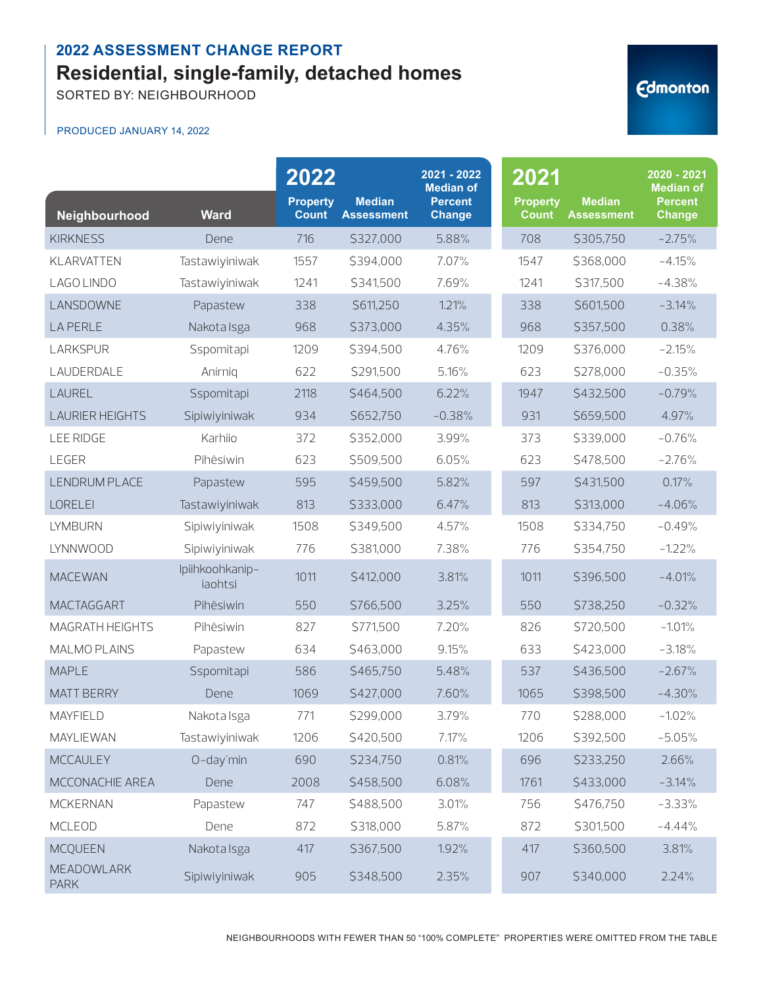SORTED BY: NEIGHBOURHOOD

#### PRODUCED JANUARY 14, 2022

| Neighbourhood                    | <b>Ward</b>                | 2022<br><b>Property</b><br><b>Count</b> | <b>Median</b><br><b>Assessment</b> | 2021 - 2022<br><b>Median of</b><br><b>Percent</b><br><b>Change</b> | 2021<br><b>Property</b><br><b>Count</b> | <b>Median</b><br><b>Assessment</b> | 2020 - 2021<br><b>Median of</b><br><b>Percent</b><br><b>Change</b> |
|----------------------------------|----------------------------|-----------------------------------------|------------------------------------|--------------------------------------------------------------------|-----------------------------------------|------------------------------------|--------------------------------------------------------------------|
| <b>KIRKNESS</b>                  | Dene                       | 716                                     | \$327,000                          | 5.88%                                                              | 708                                     | \$305,750                          | $-2.75%$                                                           |
| KLARVATTEN                       | Tastawiyiniwak             | 1557                                    | \$394,000                          | 7.07%                                                              | 1547                                    | \$368,000                          | $-4.15%$                                                           |
| LAGO LINDO                       | Tastawiyiniwak             | 1241                                    | \$341,500                          | 7.69%                                                              | 1241                                    | \$317,500                          | $-4.38%$                                                           |
| LANSDOWNE                        | Papastew                   | 338                                     | \$611,250                          | 1.21%                                                              | 338                                     | \$601,500                          | $-3.14%$                                                           |
| <b>LA PERLE</b>                  | Nakota Isga                | 968                                     | \$373,000                          | 4.35%                                                              | 968                                     | \$357,500                          | 0.38%                                                              |
| <b>LARKSPUR</b>                  | Sspomitapi                 | 1209                                    | \$394,500                          | 4.76%                                                              | 1209                                    | \$376,000                          | $-2.15%$                                                           |
| LAUDERDALE                       | Anirnig                    | 622                                     | \$291,500                          | 5.16%                                                              | 623                                     | \$278,000                          | $-0.35%$                                                           |
| LAUREL                           | Sspomitapi                 | 2118                                    | \$464,500                          | 6.22%                                                              | 1947                                    | \$432,500                          | $-0.79%$                                                           |
| <b>LAURIER HEIGHTS</b>           | Sipiwiyiniwak              | 934                                     | \$652,750                          | $-0.38%$                                                           | 931                                     | \$659,500                          | 4.97%                                                              |
| <b>LEE RIDGE</b>                 | Karhiio                    | 372                                     | \$352,000                          | 3.99%                                                              | 373                                     | \$339,000                          | $-0.76%$                                                           |
| LEGER                            | Pihêsiwin                  | 623                                     | \$509,500                          | 6.05%                                                              | 623                                     | \$478,500                          | $-2.76%$                                                           |
| <b>LENDRUM PLACE</b>             | Papastew                   | 595                                     | \$459,500                          | 5.82%                                                              | 597                                     | \$431,500                          | 0.17%                                                              |
| <b>LORELEI</b>                   | Tastawiyiniwak             | 813                                     | \$333,000                          | 6.47%                                                              | 813                                     | \$313,000                          | $-4.06%$                                                           |
| <b>LYMBURN</b>                   | Sipiwiyiniwak              | 1508                                    | \$349,500                          | 4.57%                                                              | 1508                                    | \$334,750                          | $-0.49%$                                                           |
| LYNNWOOD                         | Sipiwiyiniwak              | 776                                     | \$381,000                          | 7.38%                                                              | 776                                     | \$354,750                          | $-1.22%$                                                           |
| <b>MACEWAN</b>                   | Ipiihkoohkanip-<br>iaohtsi | 1011                                    | \$412,000                          | 3.81%                                                              | 1011                                    | \$396,500                          | $-4.01%$                                                           |
| MACTAGGART                       | Pihêsiwin                  | 550                                     | \$766,500                          | 3.25%                                                              | 550                                     | \$738,250                          | $-0.32%$                                                           |
| MAGRATH HEIGHTS                  | Pihêsiwin                  | 827                                     | \$771,500                          | 7.20%                                                              | 826                                     | \$720,500                          | $-1.01%$                                                           |
| MALMO PLAINS                     | Papastew                   | 634                                     | \$463,000                          | 9.15%                                                              | 633                                     | \$423,000                          | $-3.18%$                                                           |
| <b>MAPLE</b>                     | Sspomitapi                 | 586                                     | \$465,750                          | 5.48%                                                              | 537                                     | \$436,500                          | $-2.67%$                                                           |
| <b>MATT BERRY</b>                | Dene                       | 1069                                    | \$427,000                          | 7.60%                                                              | 1065                                    | \$398,500                          | $-4.30%$                                                           |
| <b>MAYFIELD</b>                  | Nakota Isga                | 771                                     | \$299,000                          | 3.79%                                                              | 770                                     | \$288,000                          | $-1.02%$                                                           |
| <b>MAYLIEWAN</b>                 | Tastawiyiniwak             | 1206                                    | \$420,500                          | 7.17%                                                              | 1206                                    | \$392,500                          | $-5.05%$                                                           |
| <b>MCCAULEY</b>                  | O-day'min                  | 690                                     | \$234,750                          | 0.81%                                                              | 696                                     | \$233,250                          | 2.66%                                                              |
| MCCONACHIE AREA                  | Dene                       | 2008                                    | \$458,500                          | 6.08%                                                              | 1761                                    | \$433,000                          | $-3.14%$                                                           |
| <b>MCKERNAN</b>                  | Papastew                   | 747                                     | \$488,500                          | 3.01%                                                              | 756                                     | \$476,750                          | $-3.33%$                                                           |
| <b>MCLEOD</b>                    | Dene                       | 872                                     | \$318,000                          | 5.87%                                                              | 872                                     | \$301,500                          | $-4.44%$                                                           |
| <b>MCQUEEN</b>                   | Nakota Isga                | 417                                     | \$367,500                          | 1.92%                                                              | 417                                     | \$360,500                          | 3.81%                                                              |
| <b>MEADOWLARK</b><br><b>PARK</b> | Sipiwiyiniwak              | 905                                     | \$348,500                          | 2.35%                                                              | 907                                     | \$340,000                          | 2.24%                                                              |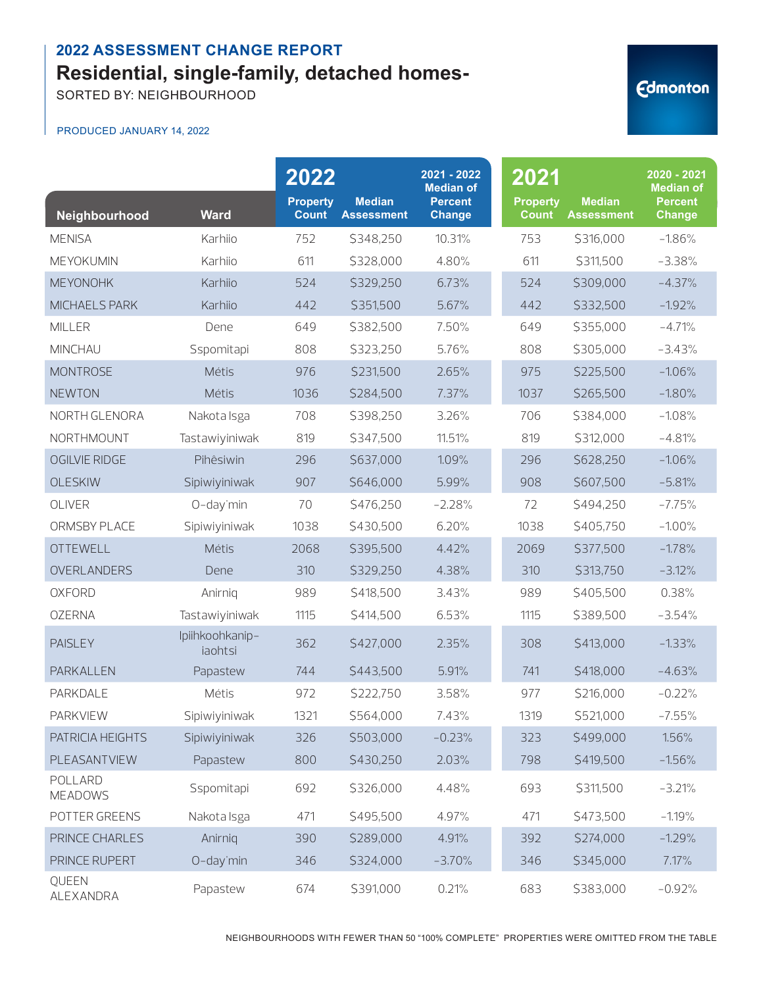SORTED BY: NEIGHBOURHOOD

#### PRODUCED JANUARY 14, 2022

|                           |                            | 2022<br><b>Property</b> | <b>Median</b>     | 2021 - 2022<br><b>Median of</b><br><b>Percent</b> | 2021<br><b>Property</b> | <b>Median</b>     | 2020 - 2021<br><b>Median of</b><br><b>Percent</b> |
|---------------------------|----------------------------|-------------------------|-------------------|---------------------------------------------------|-------------------------|-------------------|---------------------------------------------------|
| Neighbourhood             | <b>Ward</b>                | <b>Count</b>            | <b>Assessment</b> | <b>Change</b>                                     | <b>Count</b>            | <b>Assessment</b> | <b>Change</b>                                     |
| <b>MENISA</b>             | Karhiio                    | 752                     | \$348,250         | 10.31%                                            | 753                     | \$316,000         | $-1.86%$                                          |
| MEYOKUMIN                 | Karhiio                    | 611                     | \$328,000         | 4.80%                                             | 611                     | \$311,500         | $-3.38%$                                          |
| <b>MEYONOHK</b>           | Karhiio                    | 524                     | \$329,250         | 6.73%                                             | 524                     | \$309,000         | $-4.37%$                                          |
| <b>MICHAELS PARK</b>      | Karhiio                    | 442                     | \$351,500         | 5.67%                                             | 442                     | \$332,500         | $-1.92%$                                          |
| <b>MILLER</b>             | Dene                       | 649                     | \$382,500         | 7.50%                                             | 649                     | \$355,000         | $-4.71%$                                          |
| <b>MINCHAU</b>            | Sspomitapi                 | 808                     | \$323,250         | 5.76%                                             | 808                     | \$305,000         | $-3.43%$                                          |
| <b>MONTROSE</b>           | Métis                      | 976                     | \$231,500         | 2.65%                                             | 975                     | \$225,500         | $-1.06%$                                          |
| <b>NEWTON</b>             | Métis                      | 1036                    | \$284,500         | 7.37%                                             | 1037                    | \$265,500         | $-1.80%$                                          |
| NORTH GLENORA             | Nakota Isga                | 708                     | \$398,250         | 3.26%                                             | 706                     | \$384,000         | $-1.08%$                                          |
| NORTHMOUNT                | Tastawiyiniwak             | 819                     | \$347,500         | 11.51%                                            | 819                     | \$312,000         | $-4.81%$                                          |
| OGILVIE RIDGE             | Pihêsiwin                  | 296                     | \$637,000         | 1.09%                                             | 296                     | \$628,250         | $-1.06%$                                          |
| <b>OLESKIW</b>            | Sipiwiyiniwak              | 907                     | \$646,000         | 5.99%                                             | 908                     | \$607,500         | $-5.81%$                                          |
| OLIVER                    | O-day'min                  | 70                      | \$476,250         | $-2.28%$                                          | 72                      | \$494,250         | $-7.75%$                                          |
| ORMSBY PLACE              | Sipiwiyiniwak              | 1038                    | \$430,500         | 6.20%                                             | 1038                    | \$405,750         | $-1.00%$                                          |
| <b>OTTEWELL</b>           | Métis                      | 2068                    | \$395,500         | 4.42%                                             | 2069                    | \$377,500         | $-1.78%$                                          |
| OVERLANDERS               | Dene                       | 310                     | \$329,250         | 4.38%                                             | 310                     | \$313,750         | $-3.12%$                                          |
| <b>OXFORD</b>             | Anirnig                    | 989                     | \$418,500         | 3.43%                                             | 989                     | \$405,500         | 0.38%                                             |
| <b>OZERNA</b>             | Tastawiyiniwak             | 1115                    | \$414,500         | 6.53%                                             | 1115                    | \$389,500         | $-3.54%$                                          |
| <b>PAISLEY</b>            | Ipiihkoohkanip-<br>iaohtsi | 362                     | \$427,000         | 2.35%                                             | 308                     | \$413,000         | $-1.33%$                                          |
| PARKALLEN                 | Papastew                   | 744                     | \$443,500         | 5.91%                                             | 741                     | \$418,000         | $-4.63%$                                          |
| PARKDALE                  | Métis                      | 972                     | \$222,750         | 3.58%                                             | 977                     | \$216,000         | $-0.22%$                                          |
| PARKVIEW                  | Sipiwiyiniwak              | 1321                    | \$564,000         | 7.43%                                             | 1319                    | \$521,000         | $-7.55%$                                          |
| PATRICIA HEIGHTS          | Sipiwiyiniwak              | 326                     | \$503,000         | $-0.23%$                                          | 323                     | \$499,000         | 1.56%                                             |
| PLEASANTVIEW              | Papastew                   | 800                     | \$430,250         | 2.03%                                             | 798                     | \$419,500         | $-1.56%$                                          |
| POLLARD<br><b>MEADOWS</b> | Sspomitapi                 | 692                     | \$326,000         | 4.48%                                             | 693                     | \$311,500         | $-3.21%$                                          |
| POTTER GREENS             | Nakota Isga                | 471                     | \$495,500         | 4.97%                                             | 471                     | \$473,500         | $-1.19%$                                          |
| PRINCE CHARLES            | Anirnig                    | 390                     | \$289,000         | 4.91%                                             | 392                     | \$274,000         | $-1.29%$                                          |
| PRINCE RUPERT             | O-day'min                  | 346                     | \$324,000         | $-3.70%$                                          | 346                     | \$345,000         | 7.17%                                             |
| QUEEN<br>ALEXANDRA        | Papastew                   | 674                     | \$391,000         | 0.21%                                             | 683                     | \$383,000         | $-0.92%$                                          |

NEIGHBOURHOODS WITH FEWER THAN 50 "100% COMPLETE" PROPERTIES WERE OMITTED FROM THE TABLE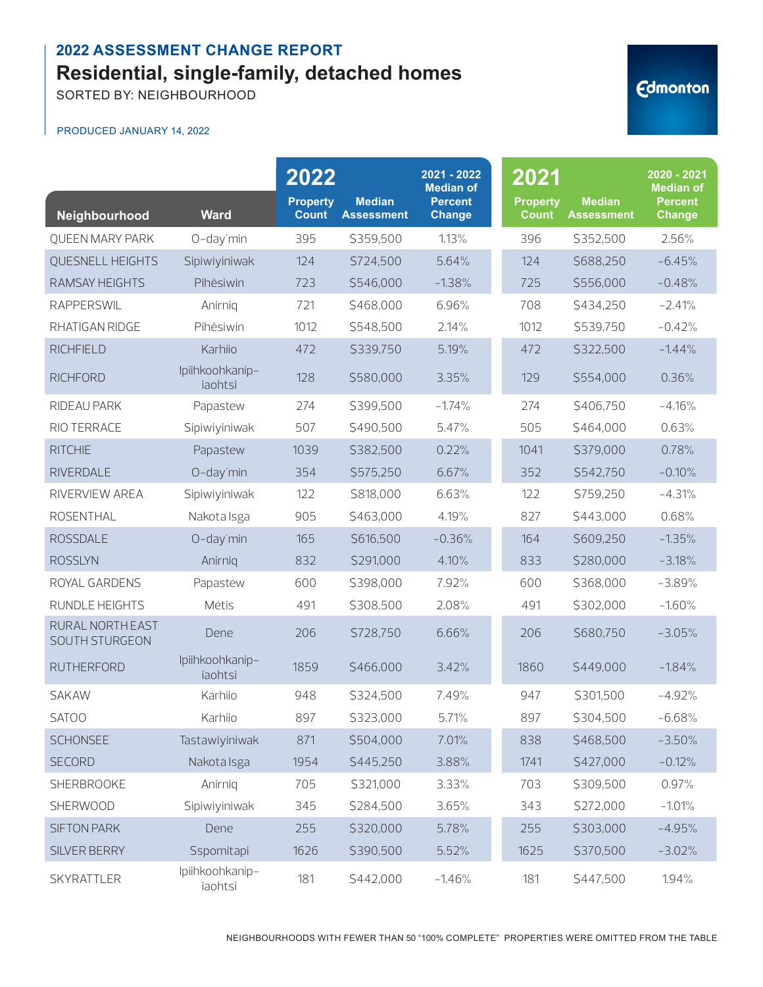SORTED BY: NEIGHBOURHOOD

#### PRODUCED JANUARY 14, 2022

| Neighbourhood                      | <b>Ward</b>                | 2022<br><b>Property</b><br><b>Count</b> | <b>Median</b><br><b>Assessment</b> | 2021 - 2022<br><b>Median of</b><br><b>Percent</b><br><b>Change</b> | 2021<br><b>Property</b><br><b>Count</b> | <b>Median</b><br><b>Assessment</b> | 2020 - 2021<br><b>Median of</b><br><b>Percent</b><br><b>Change</b> |
|------------------------------------|----------------------------|-----------------------------------------|------------------------------------|--------------------------------------------------------------------|-----------------------------------------|------------------------------------|--------------------------------------------------------------------|
| <b>OUEEN MARY PARK</b>             | O-day'min                  | 395                                     | \$359,500                          | 1.13%                                                              | 396                                     | \$352,500                          | 2.56%                                                              |
| QUESNELL HEIGHTS                   | Sipiwiyiniwak              | 124                                     | \$724,500                          | 5.64%                                                              | 124                                     | \$688,250                          | $-6.45%$                                                           |
| RAMSAY HEIGHTS                     | Pihêsiwin                  | 723                                     | \$546,000                          | $-1.38%$                                                           | 725                                     | \$556,000                          | $-0.48%$                                                           |
| <b>RAPPERSWIL</b>                  | Anirnig                    | 721                                     | \$468,000                          | 6.96%                                                              | 708                                     | \$434,250                          | $-2.41%$                                                           |
| RHATIGAN RIDGE                     | Pihêsiwin                  | 1012                                    | \$548,500                          | 2.14%                                                              | 1012                                    | \$539,750                          | $-0.42%$                                                           |
| <b>RICHFIELD</b>                   | Karhiio                    | 472                                     | \$339,750                          | 5.19%                                                              | 472                                     | \$322,500                          | $-1.44%$                                                           |
| <b>RICHFORD</b>                    | Ipiihkoohkanip-<br>iaohtsi | 128                                     | \$580,000                          | 3.35%                                                              | 129                                     | \$554,000                          | 0.36%                                                              |
| RIDEAU PARK                        | Papastew                   | 274                                     | \$399,500                          | $-1.74%$                                                           | 274                                     | \$406,750                          | $-4.16%$                                                           |
| RIO TERRACE                        | Sipiwiyiniwak              | 507                                     | \$490,500                          | 5.47%                                                              | 505                                     | \$464,000                          | 0.63%                                                              |
| <b>RITCHIE</b>                     | Papastew                   | 1039                                    | \$382,500                          | 0.22%                                                              | 1041                                    | \$379,000                          | 0.78%                                                              |
| <b>RIVERDALE</b>                   | O-day'min                  | 354                                     | \$575,250                          | 6.67%                                                              | 352                                     | \$542,750                          | $-0.10%$                                                           |
| RIVERVIEW AREA                     | Sipiwiyiniwak              | 122                                     | \$818,000                          | 6.63%                                                              | 122                                     | \$759,250                          | $-4.31%$                                                           |
| <b>ROSENTHAL</b>                   | Nakota Isga                | 905                                     | \$463,000                          | 4.19%                                                              | 827                                     | \$443,000                          | 0.68%                                                              |
| <b>ROSSDALE</b>                    | O-day'min                  | 165                                     | \$616,500                          | $-0.36%$                                                           | 164                                     | \$609,250                          | $-1.35%$                                                           |
| <b>ROSSLYN</b>                     | Anirniq                    | 832                                     | \$291,000                          | 4.10%                                                              | 833                                     | \$280,000                          | $-3.18%$                                                           |
| ROYAL GARDENS                      | Papastew                   | 600                                     | \$398,000                          | 7.92%                                                              | 600                                     | \$368,000                          | $-3.89%$                                                           |
| RUNDLE HEIGHTS                     | Métis                      | 491                                     | \$308,500                          | 2.08%                                                              | 491                                     | \$302,000                          | $-1.60%$                                                           |
| RURAL NORTH EAST<br>SOUTH STURGEON | Dene                       | 206                                     | \$728,750                          | 6.66%                                                              | 206                                     | \$680,750                          | $-3.05%$                                                           |
| <b>RUTHERFORD</b>                  | Ipiihkoohkanip-<br>iaohtsi | 1859                                    | \$466,000                          | 3.42%                                                              | 1860                                    | \$449,000                          | $-1.84%$                                                           |
| <b>SAKAW</b>                       | Karhiio                    | 948                                     | \$324,500                          | 7.49%                                                              | 947                                     | \$301,500                          | $-4.92%$                                                           |
| <b>SATOO</b>                       | Karhiio                    | 897                                     | \$323,000                          | 5.71%                                                              | 897                                     | \$304,500                          | $-6.68%$                                                           |
| <b>SCHONSEE</b>                    | Tastawiyiniwak             | 871                                     | \$504,000                          | 7.01%                                                              | 838                                     | \$468,500                          | $-3.50%$                                                           |
| <b>SECORD</b>                      | Nakota Isga                | 1954                                    | \$445,250                          | 3.88%                                                              | 1741                                    | \$427,000                          | $-0.12%$                                                           |
| <b>SHERBROOKE</b>                  | Anirnig                    | 705                                     | \$321,000                          | 3.33%                                                              | 703                                     | \$309,500                          | 0.97%                                                              |
| SHERWOOD                           | Sipiwiyiniwak              | 345                                     | \$284,500                          | 3.65%                                                              | 343                                     | \$272,000                          | $-1.01%$                                                           |
| <b>SIFTON PARK</b>                 | Dene                       | 255                                     | \$320,000                          | 5.78%                                                              | 255                                     | \$303,000                          | $-4.95%$                                                           |
| SILVER BERRY                       | Sspomitapi                 | 1626                                    | \$390,500                          | 5.52%                                                              | 1625                                    | \$370,500                          | $-3.02%$                                                           |
| SKYRATTLER                         | Ipiihkoohkanip-<br>iaohtsi | 181                                     | \$442,000                          | $-1.46%$                                                           | 181                                     | \$447,500                          | 1.94%                                                              |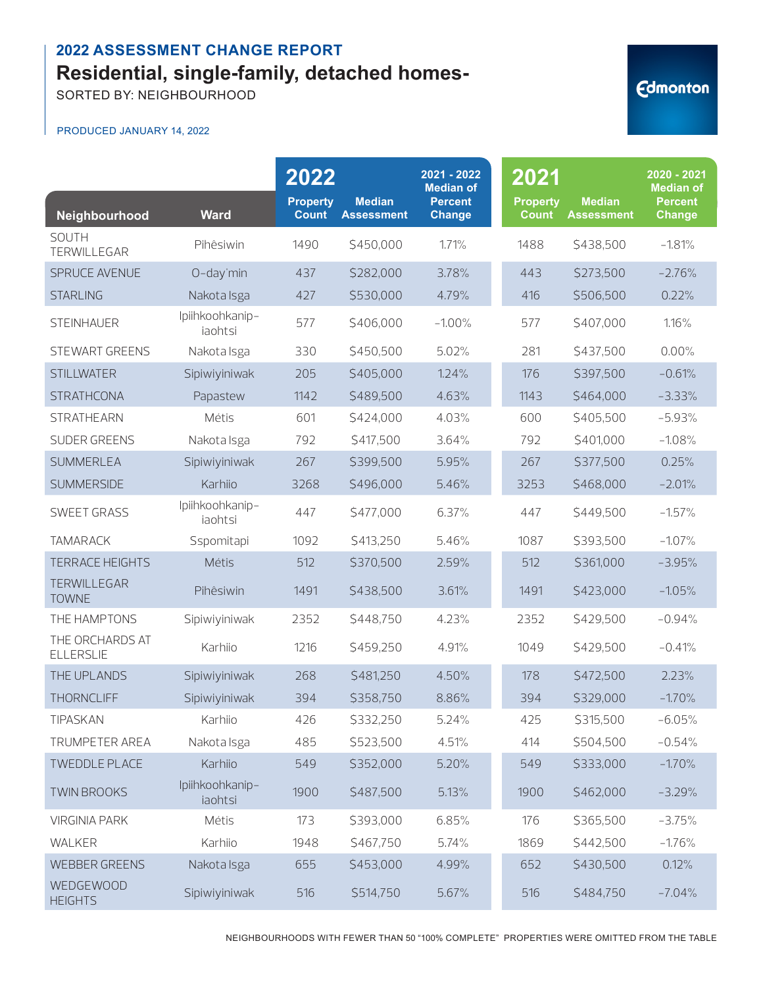SORTED BY: NEIGHBOURHOOD

#### PRODUCED JANUARY 14, 2022

| Neighbourhood                       | <b>Ward</b>                | 2022<br><b>Property</b><br><b>Count</b> | <b>Median</b><br><b>Assessment</b> | 2021 - 2022<br><b>Median of</b><br><b>Percent</b><br><b>Change</b> | 2021<br><b>Property</b><br><b>Count</b> | <b>Median</b><br><b>Assessment</b> | 2020 - 2021<br><b>Median of</b><br><b>Percent</b><br><b>Change</b> |
|-------------------------------------|----------------------------|-----------------------------------------|------------------------------------|--------------------------------------------------------------------|-----------------------------------------|------------------------------------|--------------------------------------------------------------------|
| SOUTH<br>TERWILLEGAR                | Pihêsiwin                  | 1490                                    | \$450,000                          | 1.71%                                                              | 1488                                    | \$438,500                          | $-1.81%$                                                           |
| SPRUCE AVENUE                       | O-day'min                  | 437                                     | \$282,000                          | 3.78%                                                              | 443                                     | \$273,500                          | $-2.76%$                                                           |
| <b>STARLING</b>                     | Nakota Isga                | 427                                     | \$530,000                          | 4.79%                                                              | 416                                     | \$506,500                          | 0.22%                                                              |
| <b>STEINHAUER</b>                   | Ipiihkoohkanip-<br>iaohtsi | 577                                     | \$406,000                          | $-1.00%$                                                           | 577                                     | \$407,000                          | 1.16%                                                              |
| STEWART GREENS                      | Nakota Isga                | 330                                     | \$450,500                          | 5.02%                                                              | 281                                     | \$437,500                          | 0.00%                                                              |
| <b>STILLWATER</b>                   | Sipiwiyiniwak              | 205                                     | \$405,000                          | 1.24%                                                              | 176                                     | \$397,500                          | $-0.61%$                                                           |
| <b>STRATHCONA</b>                   | Papastew                   | 1142                                    | \$489,500                          | 4.63%                                                              | 1143                                    | \$464,000                          | $-3.33%$                                                           |
| <b>STRATHEARN</b>                   | Métis                      | 601                                     | \$424,000                          | 4.03%                                                              | 600                                     | \$405,500                          | $-5.93%$                                                           |
| <b>SUDER GREENS</b>                 | Nakota Isga                | 792                                     | \$417,500                          | 3.64%                                                              | 792                                     | \$401,000                          | $-1.08%$                                                           |
| <b>SUMMERLEA</b>                    | Sipiwiyiniwak              | 267                                     | \$399,500                          | 5.95%                                                              | 267                                     | \$377,500                          | 0.25%                                                              |
| <b>SUMMERSIDE</b>                   | Karhiio                    | 3268                                    | \$496,000                          | 5.46%                                                              | 3253                                    | \$468,000                          | $-2.01%$                                                           |
| <b>SWEET GRASS</b>                  | Ipiihkoohkanip-<br>iaohtsi | 447                                     | \$477,000                          | 6.37%                                                              | 447                                     | \$449,500                          | $-1.57%$                                                           |
| <b>TAMARACK</b>                     | Sspomitapi                 | 1092                                    | \$413,250                          | 5.46%                                                              | 1087                                    | \$393,500                          | $-1.07%$                                                           |
| <b>TERRACE HEIGHTS</b>              | Métis                      | 512                                     | \$370,500                          | 2.59%                                                              | 512                                     | \$361,000                          | $-3.95%$                                                           |
| <b>TERWILLEGAR</b><br><b>TOWNE</b>  | Pihêsiwin                  | 1491                                    | \$438,500                          | 3.61%                                                              | 1491                                    | \$423,000                          | $-1.05%$                                                           |
| THE HAMPTONS                        | Sipiwiyiniwak              | 2352                                    | \$448,750                          | 4.23%                                                              | 2352                                    | \$429,500                          | $-0.94%$                                                           |
| THE ORCHARDS AT<br><b>ELLERSLIE</b> | Karhiio                    | 1216                                    | \$459,250                          | 4.91%                                                              | 1049                                    | \$429,500                          | $-0.41%$                                                           |
| THE UPLANDS                         | Sipiwiyiniwak              | 268                                     | \$481,250                          | 4.50%                                                              | 178                                     | \$472,500                          | 2.23%                                                              |
| <b>THORNCLIFF</b>                   | Sipiwiyiniwak              | 394                                     | \$358,750                          | 8.86%                                                              | 394                                     | \$329,000                          | $-1.70%$                                                           |
| TIPASKAN                            | Karhiio                    | 426                                     | \$332,250                          | 5.24%                                                              | 425                                     | \$315,500                          | $-6.05%$                                                           |
| TRUMPETER AREA                      | Nakota Isga                | 485                                     | \$523,500                          | 4.51%                                                              | 414                                     | \$504,500                          | $-0.54%$                                                           |
| <b>TWEDDLE PLACE</b>                | Karhiio                    | 549                                     | \$352,000                          | 5.20%                                                              | 549                                     | \$333,000                          | $-1.70%$                                                           |
| <b>TWIN BROOKS</b>                  | Ipiihkoohkanip-<br>iaohtsi | 1900                                    | \$487,500                          | 5.13%                                                              | 1900                                    | \$462,000                          | $-3.29%$                                                           |
| <b>VIRGINIA PARK</b>                | Métis                      | 173                                     | \$393,000                          | 6.85%                                                              | 176                                     | \$365,500                          | $-3.75%$                                                           |
| WALKER                              | Karhiio                    | 1948                                    | \$467,750                          | 5.74%                                                              | 1869                                    | \$442,500                          | $-1.76%$                                                           |
| <b>WEBBER GREENS</b>                | Nakota Isga                | 655                                     | \$453,000                          | 4.99%                                                              | 652                                     | \$430,500                          | 0.12%                                                              |
| WEDGEWOOD<br><b>HEIGHTS</b>         | Sipiwiyiniwak              | 516                                     | \$514,750                          | 5.67%                                                              | 516                                     | \$484,750                          | $-7.04%$                                                           |

NEIGHBOURHOODS WITH FEWER THAN 50 "100% COMPLETE" PROPERTIES WERE OMITTED FROM THE TABLE